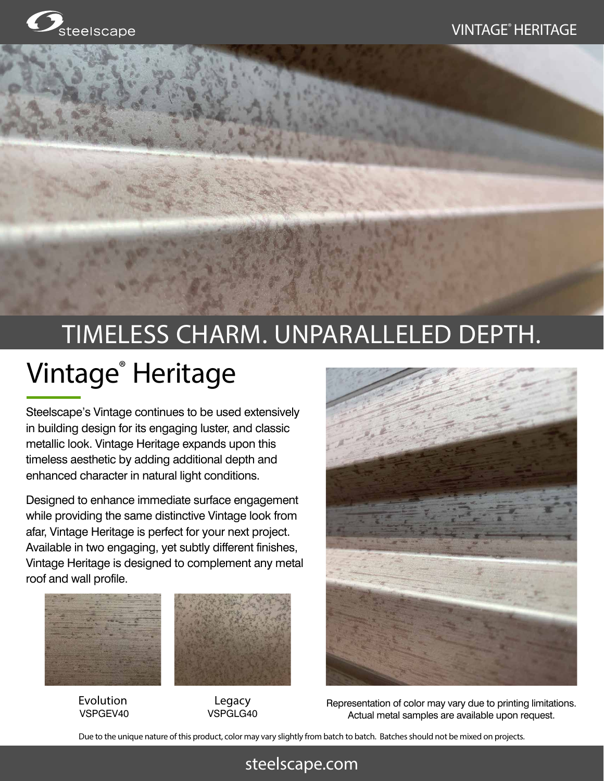# TIMELESS CHARM. UNPARALLELED DEPTH. Vintage® Heritage

Steelscape's Vintage continues to be used extensively in building design for its engaging luster, and classic metallic look. Vintage Heritage expands upon this timeless aesthetic by adding additional depth and enhanced character in natural light conditions.

Designed to enhance immediate surface engagement while providing the same distinctive Vintage look from afar, Vintage Heritage is perfect for your next project. Available in two engaging, yet subtly different finishes, Vintage Heritage is designed to complement any metal roof and wall profile.



**Evolution** VSPGEV40



Legacy VSPGLG40



Representation of color may vary due to printing limitations. Actual metal samples are available upon request.

Due to the unique nature of this product, color may vary slightly from batch to batch. Batches should not be mixed on projects.

## steelscape.com